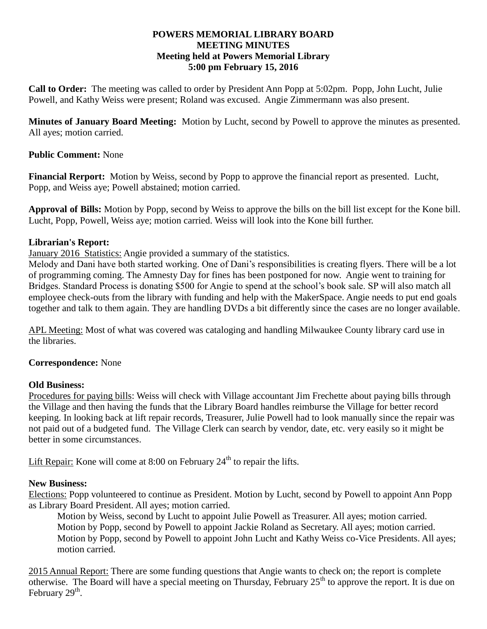#### **POWERS MEMORIAL LIBRARY BOARD MEETING MINUTES Meeting held at Powers Memorial Library 5:00 pm February 15, 2016**

**Call to Order:** The meeting was called to order by President Ann Popp at 5:02pm. Popp, John Lucht, Julie Powell, and Kathy Weiss were present; Roland was excused. Angie Zimmermann was also present.

**Minutes of January Board Meeting:** Motion by Lucht, second by Powell to approve the minutes as presented. All ayes; motion carried.

## **Public Comment:** None

**Financial Rerport:** Motion by Weiss, second by Popp to approve the financial report as presented. Lucht, Popp, and Weiss aye; Powell abstained; motion carried.

**Approval of Bills:** Motion by Popp, second by Weiss to approve the bills on the bill list except for the Kone bill. Lucht, Popp, Powell, Weiss aye; motion carried. Weiss will look into the Kone bill further.

# **Librarian's Report:**

January 2016 Statistics: Angie provided a summary of the statistics.

Melody and Dani have both started working. One of Dani's responsibilities is creating flyers. There will be a lot of programming coming. The Amnesty Day for fines has been postponed for now. Angie went to training for Bridges. Standard Process is donating \$500 for Angie to spend at the school's book sale. SP will also match all employee check-outs from the library with funding and help with the MakerSpace. Angie needs to put end goals together and talk to them again. They are handling DVDs a bit differently since the cases are no longer available.

APL Meeting: Most of what was covered was cataloging and handling Milwaukee County library card use in the libraries.

### **Correspondence:** None

### **Old Business:**

Procedures for paying bills: Weiss will check with Village accountant Jim Frechette about paying bills through the Village and then having the funds that the Library Board handles reimburse the Village for better record keeping. In looking back at lift repair records, Treasurer, Julie Powell had to look manually since the repair was not paid out of a budgeted fund. The Village Clerk can search by vendor, date, etc. very easily so it might be better in some circumstances.

Lift Repair: Kone will come at  $8:00$  on February  $24<sup>th</sup>$  to repair the lifts.

### **New Business:**

Elections: Popp volunteered to continue as President. Motion by Lucht, second by Powell to appoint Ann Popp as Library Board President. All ayes; motion carried.

Motion by Weiss, second by Lucht to appoint Julie Powell as Treasurer. All ayes; motion carried. Motion by Popp, second by Powell to appoint Jackie Roland as Secretary. All ayes; motion carried. Motion by Popp, second by Powell to appoint John Lucht and Kathy Weiss co-Vice Presidents. All ayes; motion carried.

2015 Annual Report: There are some funding questions that Angie wants to check on; the report is complete otherwise. The Board will have a special meeting on Thursday, February  $25<sup>th</sup>$  to approve the report. It is due on February 29<sup>th</sup>.